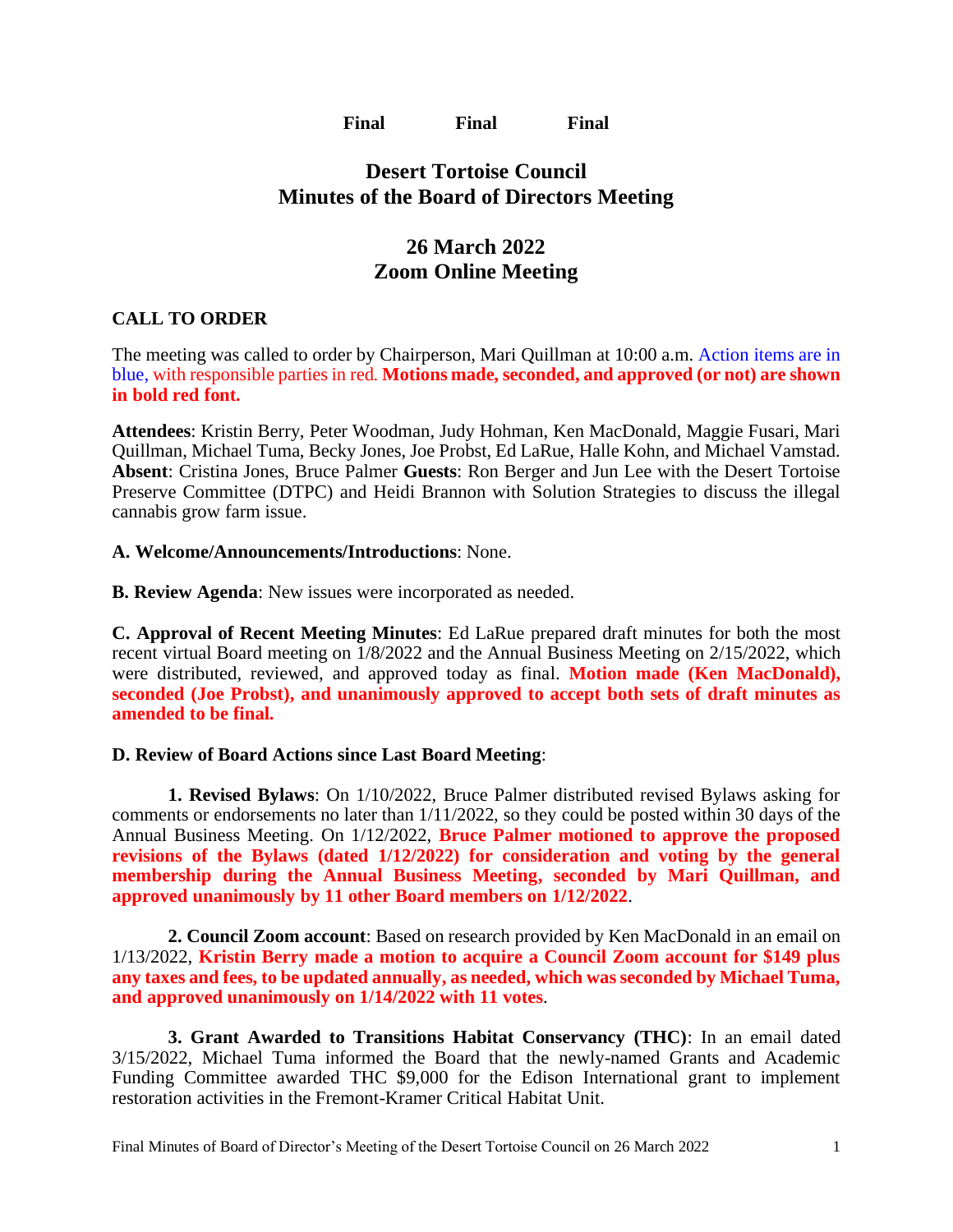**Final Final Final**

## **Desert Tortoise Council Minutes of the Board of Directors Meeting**

# **26 March 2022 Zoom Online Meeting**

## **CALL TO ORDER**

The meeting was called to order by Chairperson, Mari Quillman at 10:00 a.m. Action items are in blue, with responsible parties in red. **Motions made, seconded, and approved (or not) are shown in bold red font.**

**Attendees**: Kristin Berry, Peter Woodman, Judy Hohman, Ken MacDonald, Maggie Fusari, Mari Quillman, Michael Tuma, Becky Jones, Joe Probst, Ed LaRue, Halle Kohn, and Michael Vamstad. **Absent**: Cristina Jones, Bruce Palmer **Guests**: Ron Berger and Jun Lee with the Desert Tortoise Preserve Committee (DTPC) and Heidi Brannon with Solution Strategies to discuss the illegal cannabis grow farm issue.

### **A. Welcome/Announcements/Introductions**: None.

**B. Review Agenda**: New issues were incorporated as needed.

**C. Approval of Recent Meeting Minutes**: Ed LaRue prepared draft minutes for both the most recent virtual Board meeting on 1/8/2022 and the Annual Business Meeting on 2/15/2022, which were distributed, reviewed, and approved today as final. **Motion made (Ken MacDonald), seconded (Joe Probst), and unanimously approved to accept both sets of draft minutes as amended to be final.**

## **D. Review of Board Actions since Last Board Meeting**:

**1. Revised Bylaws**: On 1/10/2022, Bruce Palmer distributed revised Bylaws asking for comments or endorsements no later than 1/11/2022, so they could be posted within 30 days of the Annual Business Meeting. On 1/12/2022, **Bruce Palmer motioned to approve the proposed revisions of the Bylaws (dated 1/12/2022) for consideration and voting by the general membership during the Annual Business Meeting, seconded by Mari Quillman, and approved unanimously by 11 other Board members on 1/12/2022**.

**2. Council Zoom account**: Based on research provided by Ken MacDonald in an email on 1/13/2022, **Kristin Berry made a motion to acquire a Council Zoom account for \$149 plus any taxes and fees, to be updated annually, as needed, which was seconded by Michael Tuma, and approved unanimously on 1/14/2022 with 11 votes**.

**3. Grant Awarded to Transitions Habitat Conservancy (THC)**: In an email dated 3/15/2022, Michael Tuma informed the Board that the newly-named Grants and Academic Funding Committee awarded THC \$9,000 for the Edison International grant to implement restoration activities in the Fremont-Kramer Critical Habitat Unit.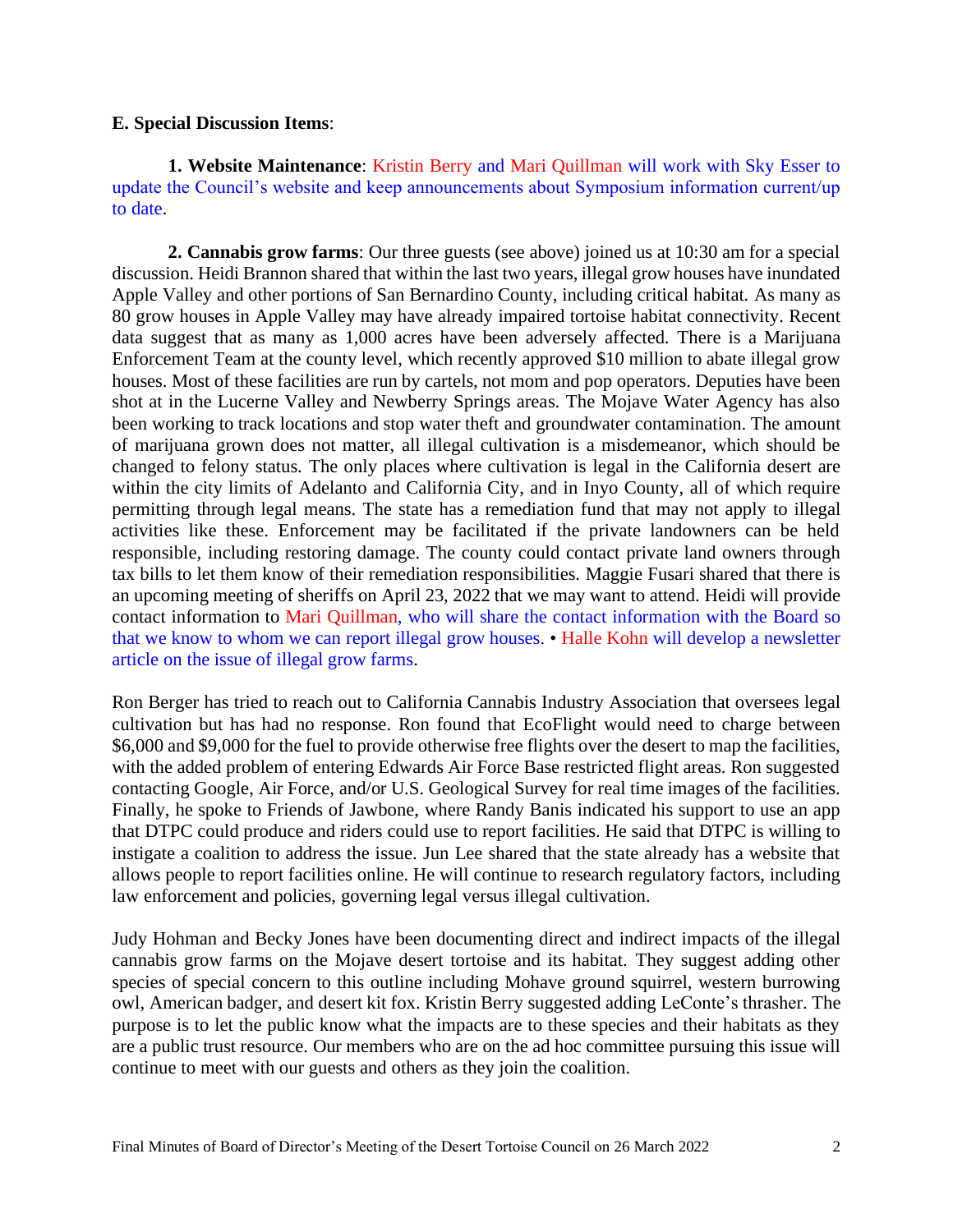#### **E. Special Discussion Items**:

**1. Website Maintenance**: Kristin Berry and Mari Quillman will work with Sky Esser to update the Council's website and keep announcements about Symposium information current/up to date.

**2. Cannabis grow farms**: Our three guests (see above) joined us at 10:30 am for a special discussion. Heidi Brannon shared that within the last two years, illegal grow houses have inundated Apple Valley and other portions of San Bernardino County, including critical habitat. As many as 80 grow houses in Apple Valley may have already impaired tortoise habitat connectivity. Recent data suggest that as many as 1,000 acres have been adversely affected. There is a Marijuana Enforcement Team at the county level, which recently approved \$10 million to abate illegal grow houses. Most of these facilities are run by cartels, not mom and pop operators. Deputies have been shot at in the Lucerne Valley and Newberry Springs areas. The Mojave Water Agency has also been working to track locations and stop water theft and groundwater contamination. The amount of marijuana grown does not matter, all illegal cultivation is a misdemeanor, which should be changed to felony status. The only places where cultivation is legal in the California desert are within the city limits of Adelanto and California City, and in Inyo County, all of which require permitting through legal means. The state has a remediation fund that may not apply to illegal activities like these. Enforcement may be facilitated if the private landowners can be held responsible, including restoring damage. The county could contact private land owners through tax bills to let them know of their remediation responsibilities. Maggie Fusari shared that there is an upcoming meeting of sheriffs on April 23, 2022 that we may want to attend. Heidi will provide contact information to Mari Quillman, who will share the contact information with the Board so that we know to whom we can report illegal grow houses. • Halle Kohn will develop a newsletter article on the issue of illegal grow farms.

Ron Berger has tried to reach out to California Cannabis Industry Association that oversees legal cultivation but has had no response. Ron found that EcoFlight would need to charge between \$6,000 and \$9,000 for the fuel to provide otherwise free flights over the desert to map the facilities, with the added problem of entering Edwards Air Force Base restricted flight areas. Ron suggested contacting Google, Air Force, and/or U.S. Geological Survey for real time images of the facilities. Finally, he spoke to Friends of Jawbone, where Randy Banis indicated his support to use an app that DTPC could produce and riders could use to report facilities. He said that DTPC is willing to instigate a coalition to address the issue. Jun Lee shared that the state already has a website that allows people to report facilities online. He will continue to research regulatory factors, including law enforcement and policies, governing legal versus illegal cultivation.

Judy Hohman and Becky Jones have been documenting direct and indirect impacts of the illegal cannabis grow farms on the Mojave desert tortoise and its habitat. They suggest adding other species of special concern to this outline including Mohave ground squirrel, western burrowing owl, American badger, and desert kit fox. Kristin Berry suggested adding LeConte's thrasher. The purpose is to let the public know what the impacts are to these species and their habitats as they are a public trust resource. Our members who are on the ad hoc committee pursuing this issue will continue to meet with our guests and others as they join the coalition.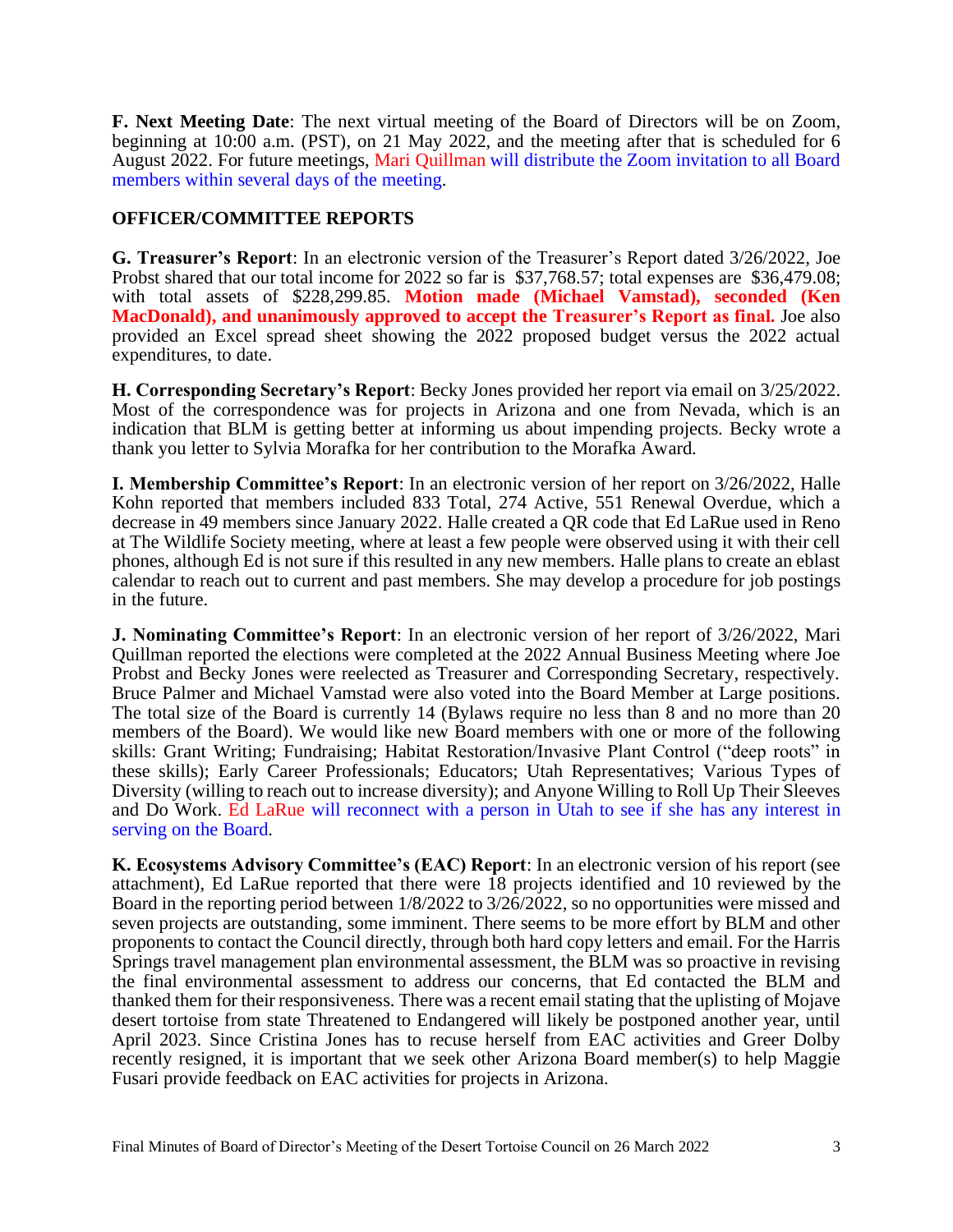**F. Next Meeting Date**: The next virtual meeting of the Board of Directors will be on Zoom, beginning at 10:00 a.m. (PST), on 21 May 2022, and the meeting after that is scheduled for 6 August 2022. For future meetings, Mari Quillman will distribute the Zoom invitation to all Board members within several days of the meeting.

## **OFFICER/COMMITTEE REPORTS**

**G. Treasurer's Report**: In an electronic version of the Treasurer's Report dated 3/26/2022, Joe Probst shared that our total income for 2022 so far is \$37,768.57; total expenses are \$36,479.08; with total assets of \$228,299.85. **Motion made (Michael Vamstad), seconded (Ken MacDonald), and unanimously approved to accept the Treasurer's Report as final.** Joe also provided an Excel spread sheet showing the 2022 proposed budget versus the 2022 actual expenditures, to date.

**H. Corresponding Secretary's Report**: Becky Jones provided her report via email on 3/25/2022. Most of the correspondence was for projects in Arizona and one from Nevada, which is an indication that BLM is getting better at informing us about impending projects. Becky wrote a thank you letter to Sylvia Morafka for her contribution to the Morafka Award.

**I. Membership Committee's Report**: In an electronic version of her report on 3/26/2022, Halle Kohn reported that members included 833 Total, 274 Active, 551 Renewal Overdue, which a decrease in 49 members since January 2022. Halle created a QR code that Ed LaRue used in Reno at The Wildlife Society meeting, where at least a few people were observed using it with their cell phones, although Ed is not sure if this resulted in any new members. Halle plans to create an eblast calendar to reach out to current and past members. She may develop a procedure for job postings in the future.

**J. Nominating Committee's Report**: In an electronic version of her report of 3/26/2022, Mari Quillman reported the elections were completed at the 2022 Annual Business Meeting where Joe Probst and Becky Jones were reelected as Treasurer and Corresponding Secretary, respectively. Bruce Palmer and Michael Vamstad were also voted into the Board Member at Large positions. The total size of the Board is currently 14 (Bylaws require no less than 8 and no more than 20 members of the Board). We would like new Board members with one or more of the following skills: Grant Writing; Fundraising; Habitat Restoration/Invasive Plant Control ("deep roots" in these skills); Early Career Professionals; Educators; Utah Representatives; Various Types of Diversity (willing to reach out to increase diversity); and Anyone Willing to Roll Up Their Sleeves and Do Work. Ed LaRue will reconnect with a person in Utah to see if she has any interest in serving on the Board.

**K. Ecosystems Advisory Committee's (EAC) Report**: In an electronic version of his report (see attachment), Ed LaRue reported that there were 18 projects identified and 10 reviewed by the Board in the reporting period between 1/8/2022 to 3/26/2022, so no opportunities were missed and seven projects are outstanding, some imminent. There seems to be more effort by BLM and other proponents to contact the Council directly, through both hard copy letters and email. For the Harris Springs travel management plan environmental assessment, the BLM was so proactive in revising the final environmental assessment to address our concerns, that Ed contacted the BLM and thanked them for their responsiveness. There was a recent email stating that the uplisting of Mojave desert tortoise from state Threatened to Endangered will likely be postponed another year, until April 2023. Since Cristina Jones has to recuse herself from EAC activities and Greer Dolby recently resigned, it is important that we seek other Arizona Board member(s) to help Maggie Fusari provide feedback on EAC activities for projects in Arizona.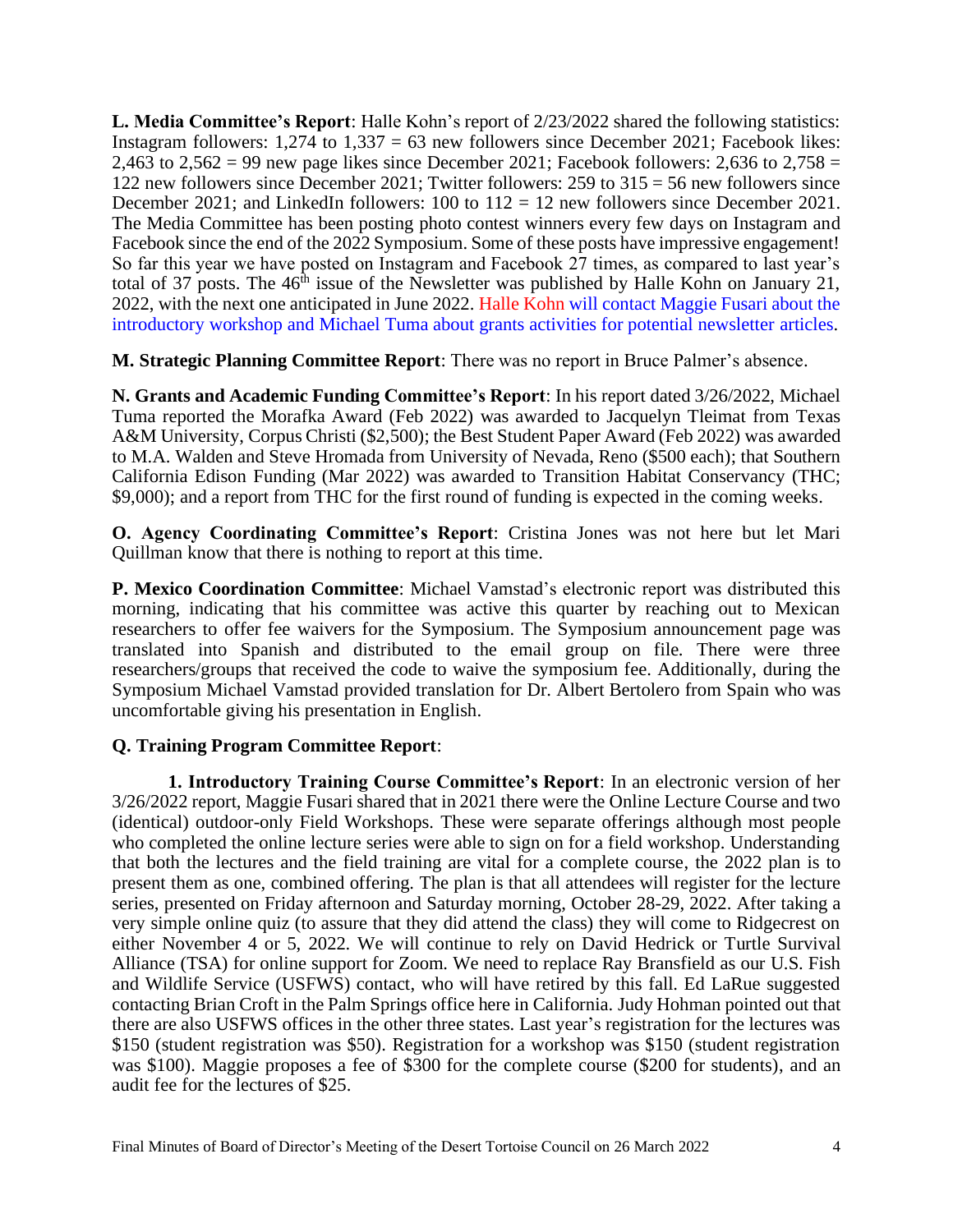**L. Media Committee's Report**: Halle Kohn's report of 2/23/2022 shared the following statistics: Instagram followers:  $1,274$  to  $1,337 = 63$  new followers since December 2021; Facebook likes: 2,463 to  $2,562 = 99$  new page likes since December 2021; Facebook followers: 2,636 to  $2,758 =$ 122 new followers since December 2021; Twitter followers: 259 to 315 = 56 new followers since December 2021; and LinkedIn followers: 100 to 112 = 12 new followers since December 2021. The Media Committee has been posting photo contest winners every few days on Instagram and Facebook since the end of the 2022 Symposium. Some of these posts have impressive engagement! So far this year we have posted on Instagram and Facebook 27 times, as compared to last year's total of 37 posts. The  $46<sup>th</sup>$  issue of the Newsletter was published by Halle Kohn on January 21, 2022, with the next one anticipated in June 2022. Halle Kohn will contact Maggie Fusari about the introductory workshop and Michael Tuma about grants activities for potential newsletter articles.

**M. Strategic Planning Committee Report**: There was no report in Bruce Palmer's absence.

**N. Grants and Academic Funding Committee's Report**: In his report dated 3/26/2022, Michael Tuma reported the Morafka Award (Feb 2022) was awarded to Jacquelyn Tleimat from Texas A&M University, Corpus Christi (\$2,500); the Best Student Paper Award (Feb 2022) was awarded to M.A. Walden and Steve Hromada from University of Nevada, Reno (\$500 each); that Southern California Edison Funding (Mar 2022) was awarded to Transition Habitat Conservancy (THC; \$9,000); and a report from THC for the first round of funding is expected in the coming weeks.

**O. Agency Coordinating Committee's Report**: Cristina Jones was not here but let Mari Quillman know that there is nothing to report at this time.

**P. Mexico Coordination Committee**: Michael Vamstad's electronic report was distributed this morning, indicating that his committee was active this quarter by reaching out to Mexican researchers to offer fee waivers for the Symposium. The Symposium announcement page was translated into Spanish and distributed to the email group on file. There were three researchers/groups that received the code to waive the symposium fee. Additionally, during the Symposium Michael Vamstad provided translation for Dr. Albert Bertolero from Spain who was uncomfortable giving his presentation in English.

## **Q. Training Program Committee Report**:

**1. Introductory Training Course Committee's Report**: In an electronic version of her 3/26/2022 report, Maggie Fusari shared that in 2021 there were the Online Lecture Course and two (identical) outdoor-only Field Workshops. These were separate offerings although most people who completed the online lecture series were able to sign on for a field workshop. Understanding that both the lectures and the field training are vital for a complete course, the 2022 plan is to present them as one, combined offering. The plan is that all attendees will register for the lecture series, presented on Friday afternoon and Saturday morning, October 28-29, 2022. After taking a very simple online quiz (to assure that they did attend the class) they will come to Ridgecrest on either November 4 or 5, 2022. We will continue to rely on David Hedrick or Turtle Survival Alliance (TSA) for online support for Zoom. We need to replace Ray Bransfield as our U.S. Fish and Wildlife Service (USFWS) contact, who will have retired by this fall. Ed LaRue suggested contacting Brian Croft in the Palm Springs office here in California. Judy Hohman pointed out that there are also USFWS offices in the other three states. Last year's registration for the lectures was \$150 (student registration was \$50). Registration for a workshop was \$150 (student registration was \$100). Maggie proposes a fee of \$300 for the complete course (\$200 for students), and an audit fee for the lectures of \$25.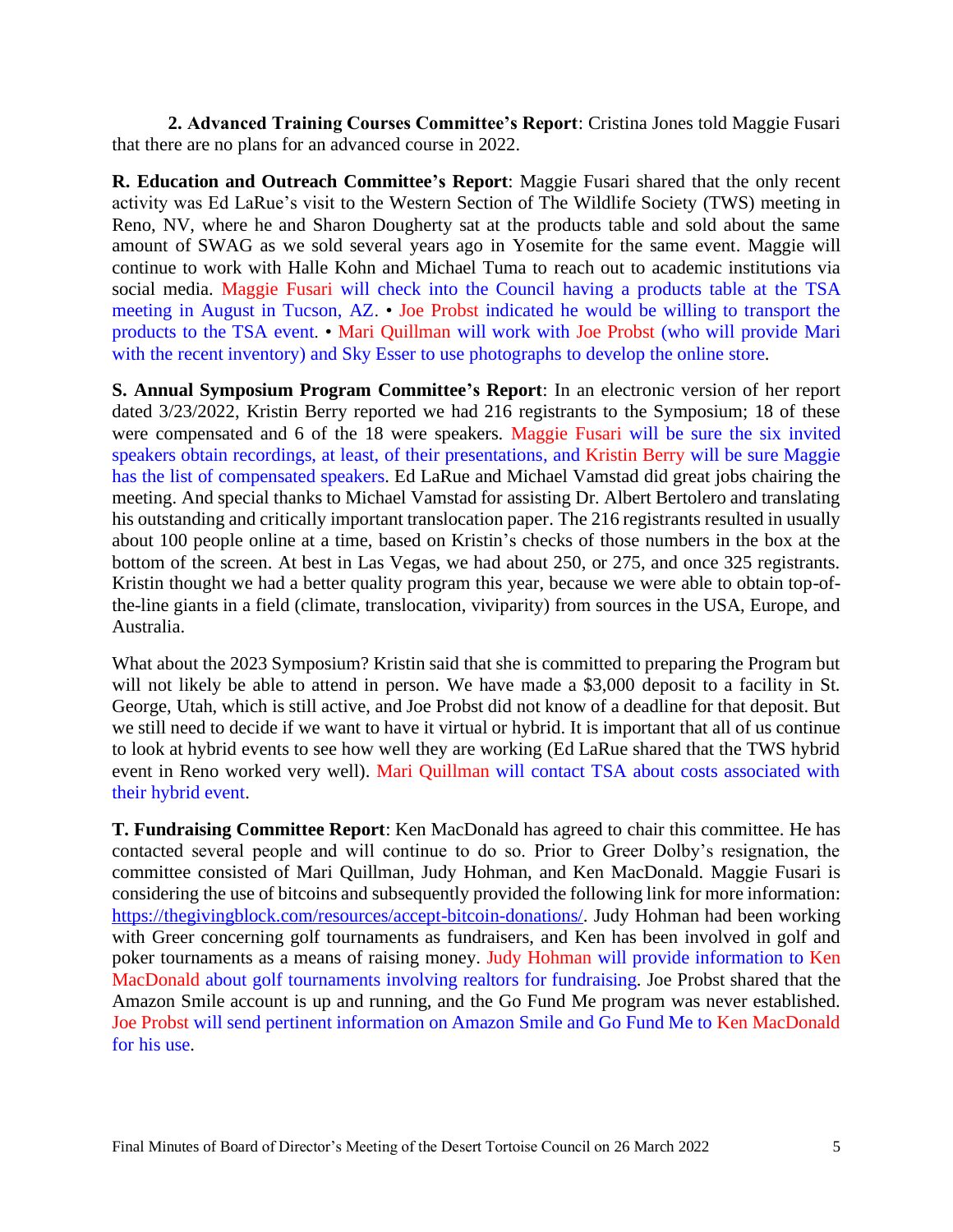**2. Advanced Training Courses Committee's Report**: Cristina Jones told Maggie Fusari that there are no plans for an advanced course in 2022.

**R. Education and Outreach Committee's Report**: Maggie Fusari shared that the only recent activity was Ed LaRue's visit to the Western Section of The Wildlife Society (TWS) meeting in Reno, NV, where he and Sharon Dougherty sat at the products table and sold about the same amount of SWAG as we sold several years ago in Yosemite for the same event. Maggie will continue to work with Halle Kohn and Michael Tuma to reach out to academic institutions via social media. Maggie Fusari will check into the Council having a products table at the TSA meeting in August in Tucson, AZ. • Joe Probst indicated he would be willing to transport the products to the TSA event. • Mari Quillman will work with Joe Probst (who will provide Mari with the recent inventory) and Sky Esser to use photographs to develop the online store.

**S. Annual Symposium Program Committee's Report**: In an electronic version of her report dated 3/23/2022, Kristin Berry reported we had 216 registrants to the Symposium; 18 of these were compensated and 6 of the 18 were speakers. Maggie Fusari will be sure the six invited speakers obtain recordings, at least, of their presentations, and Kristin Berry will be sure Maggie has the list of compensated speakers. Ed LaRue and Michael Vamstad did great jobs chairing the meeting. And special thanks to Michael Vamstad for assisting Dr. Albert Bertolero and translating his outstanding and critically important translocation paper. The 216 registrants resulted in usually about 100 people online at a time, based on Kristin's checks of those numbers in the box at the bottom of the screen. At best in Las Vegas, we had about 250, or 275, and once 325 registrants. Kristin thought we had a better quality program this year, because we were able to obtain top-ofthe-line giants in a field (climate, translocation, viviparity) from sources in the USA, Europe, and Australia.

What about the 2023 Symposium? Kristin said that she is committed to preparing the Program but will not likely be able to attend in person. We have made a \$3,000 deposit to a facility in St. George, Utah, which is still active, and Joe Probst did not know of a deadline for that deposit. But we still need to decide if we want to have it virtual or hybrid. It is important that all of us continue to look at hybrid events to see how well they are working (Ed LaRue shared that the TWS hybrid event in Reno worked very well). Mari Quillman will contact TSA about costs associated with their hybrid event.

**T. Fundraising Committee Report**: Ken MacDonald has agreed to chair this committee. He has contacted several people and will continue to do so. Prior to Greer Dolby's resignation, the committee consisted of Mari Quillman, Judy Hohman, and Ken MacDonald. Maggie Fusari is considering the use of bitcoins and subsequently provided the following link for more information: [https://thegivingblock.com/resources/accept-bitcoin-donations/.](https://thegivingblock.com/resources/accept-bitcoin-donations/) Judy Hohman had been working with Greer concerning golf tournaments as fundraisers, and Ken has been involved in golf and poker tournaments as a means of raising money. Judy Hohman will provide information to Ken MacDonald about golf tournaments involving realtors for fundraising. Joe Probst shared that the Amazon Smile account is up and running, and the Go Fund Me program was never established. Joe Probst will send pertinent information on Amazon Smile and Go Fund Me to Ken MacDonald for his use.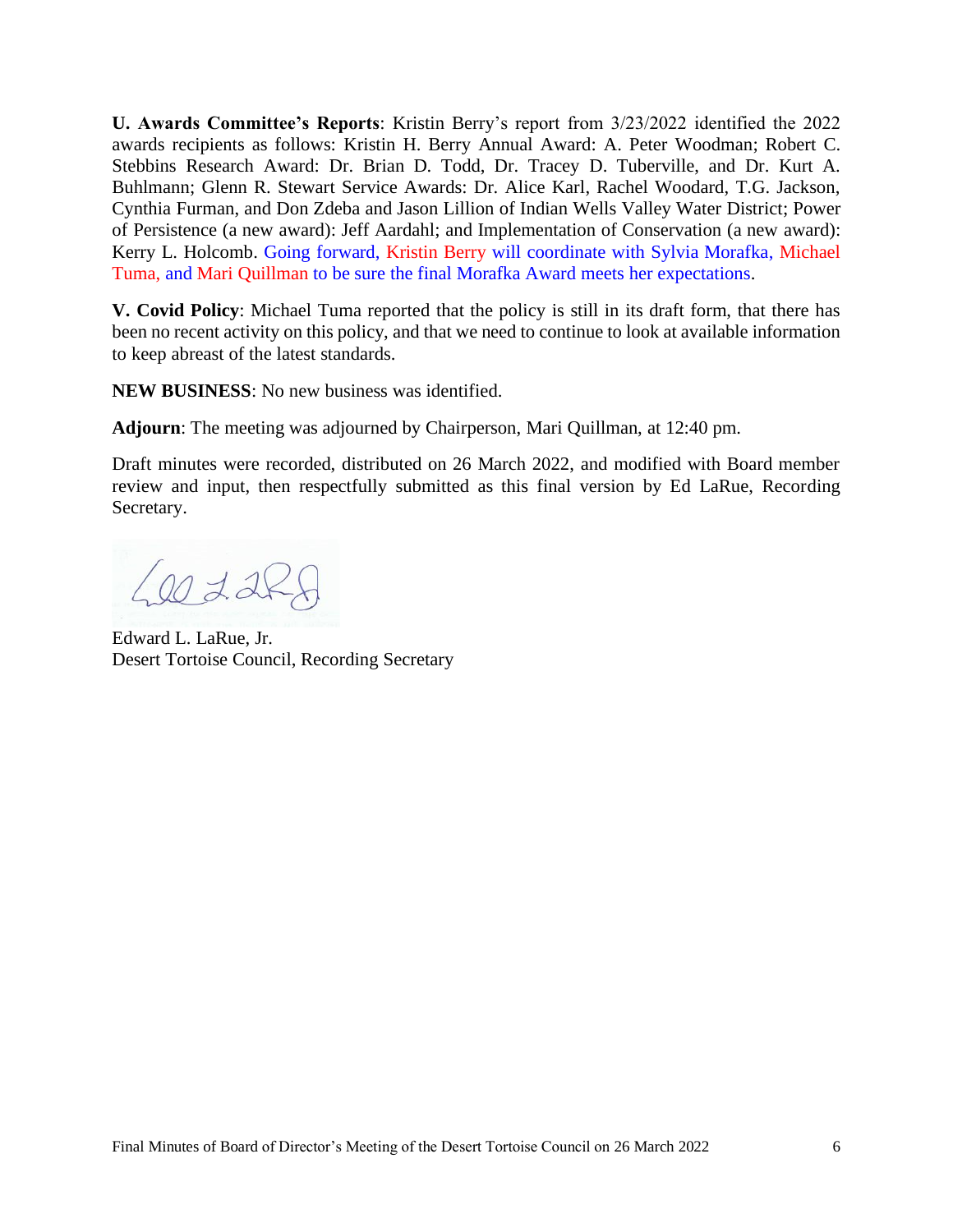**U. Awards Committee's Reports**: Kristin Berry's report from 3/23/2022 identified the 2022 awards recipients as follows: Kristin H. Berry Annual Award: A. Peter Woodman; Robert C. Stebbins Research Award: Dr. Brian D. Todd, Dr. Tracey D. Tuberville, and Dr. Kurt A. Buhlmann; Glenn R. Stewart Service Awards: Dr. Alice Karl, Rachel Woodard, T.G. Jackson, Cynthia Furman, and Don Zdeba and Jason Lillion of Indian Wells Valley Water District; Power of Persistence (a new award): Jeff Aardahl; and Implementation of Conservation (a new award): Kerry L. Holcomb. Going forward, Kristin Berry will coordinate with Sylvia Morafka, Michael Tuma, and Mari Quillman to be sure the final Morafka Award meets her expectations.

**V. Covid Policy**: Michael Tuma reported that the policy is still in its draft form, that there has been no recent activity on this policy, and that we need to continue to look at available information to keep abreast of the latest standards.

**NEW BUSINESS**: No new business was identified.

**Adjourn**: The meeting was adjourned by Chairperson, Mari Quillman, at 12:40 pm.

Draft minutes were recorded, distributed on 26 March 2022, and modified with Board member review and input, then respectfully submitted as this final version by Ed LaRue, Recording Secretary.

 $L$  20 228

Edward L. LaRue, Jr. Desert Tortoise Council, Recording Secretary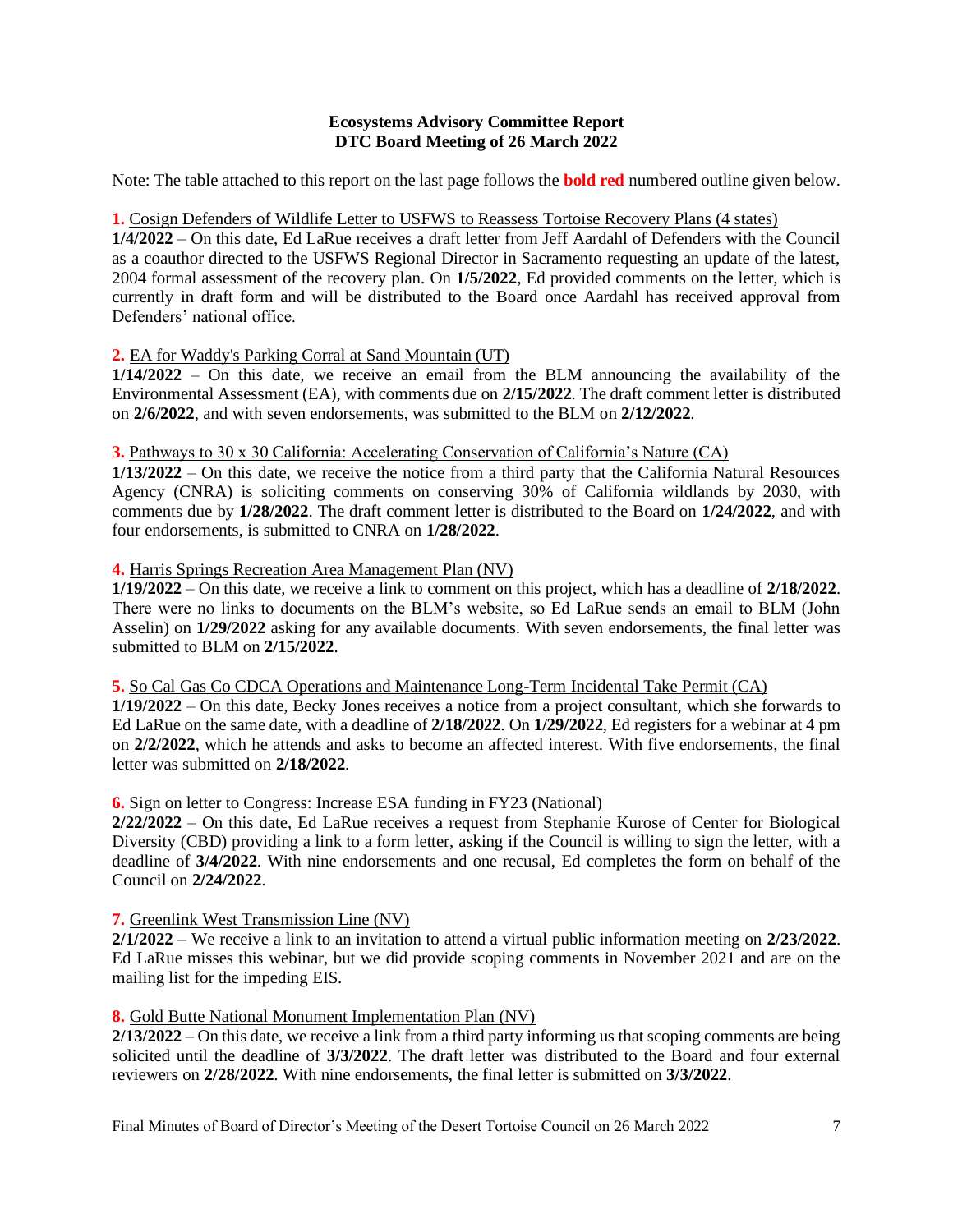#### **Ecosystems Advisory Committee Report DTC Board Meeting of 26 March 2022**

Note: The table attached to this report on the last page follows the **bold red** numbered outline given below.

#### **1.** Cosign Defenders of Wildlife Letter to USFWS to Reassess Tortoise Recovery Plans (4 states)

**1/4/2022** – On this date, Ed LaRue receives a draft letter from Jeff Aardahl of Defenders with the Council as a coauthor directed to the USFWS Regional Director in Sacramento requesting an update of the latest, 2004 formal assessment of the recovery plan. On **1/5/2022**, Ed provided comments on the letter, which is currently in draft form and will be distributed to the Board once Aardahl has received approval from Defenders' national office.

#### **2.** EA for Waddy's Parking Corral at Sand Mountain (UT)

**1/14/2022** – On this date, we receive an email from the BLM announcing the availability of the Environmental Assessment (EA), with comments due on **2/15/2022**. The draft comment letter is distributed on **2/6/2022**, and with seven endorsements, was submitted to the BLM on **2/12/2022**.

#### **3.** Pathways to 30 x 30 California: Accelerating Conservation of California's Nature (CA)

**1/13/2022** – On this date, we receive the notice from a third party that the California Natural Resources Agency (CNRA) is soliciting comments on conserving 30% of California wildlands by 2030, with comments due by **1/28/2022**. The draft comment letter is distributed to the Board on **1/24/2022**, and with four endorsements, is submitted to CNRA on **1/28/2022**.

#### **4.** Harris Springs Recreation Area Management Plan (NV)

**1/19/2022** – On this date, we receive a link to comment on this project, which has a deadline of **2/18/2022**. There were no links to documents on the BLM's website, so Ed LaRue sends an email to BLM (John Asselin) on  $1/29/2022$  asking for any available documents. With seven endorsements, the final letter was submitted to BLM on **2/15/2022**.

**5.** So Cal Gas Co CDCA Operations and Maintenance Long-Term Incidental Take Permit (CA)

**1/19/2022** – On this date, Becky Jones receives a notice from a project consultant, which she forwards to Ed LaRue on the same date, with a deadline of **2/18/2022**. On **1/29/2022**, Ed registers for a webinar at 4 pm on **2/2/2022**, which he attends and asks to become an affected interest. With five endorsements, the final letter was submitted on **2/18/2022**.

#### **6.** Sign on letter to Congress: Increase ESA funding in FY23 (National)

**2/22/2022** – On this date, Ed LaRue receives a request from Stephanie Kurose of Center for Biological Diversity (CBD) providing a link to a form letter, asking if the Council is willing to sign the letter, with a deadline of **3/4/2022**. With nine endorsements and one recusal, Ed completes the form on behalf of the Council on **2/24/2022**.

#### **7.** Greenlink West Transmission Line (NV)

**2/1/2022** – We receive a link to an invitation to attend a virtual public information meeting on **2/23/2022**. Ed LaRue misses this webinar, but we did provide scoping comments in November 2021 and are on the mailing list for the impeding EIS.

#### **8.** Gold Butte National Monument Implementation Plan (NV)

**2/13/2022** – On this date, we receive a link from a third party informing us that scoping comments are being solicited until the deadline of **3/3/2022**. The draft letter was distributed to the Board and four external reviewers on **2/28/2022**. With nine endorsements, the final letter is submitted on **3/3/2022**.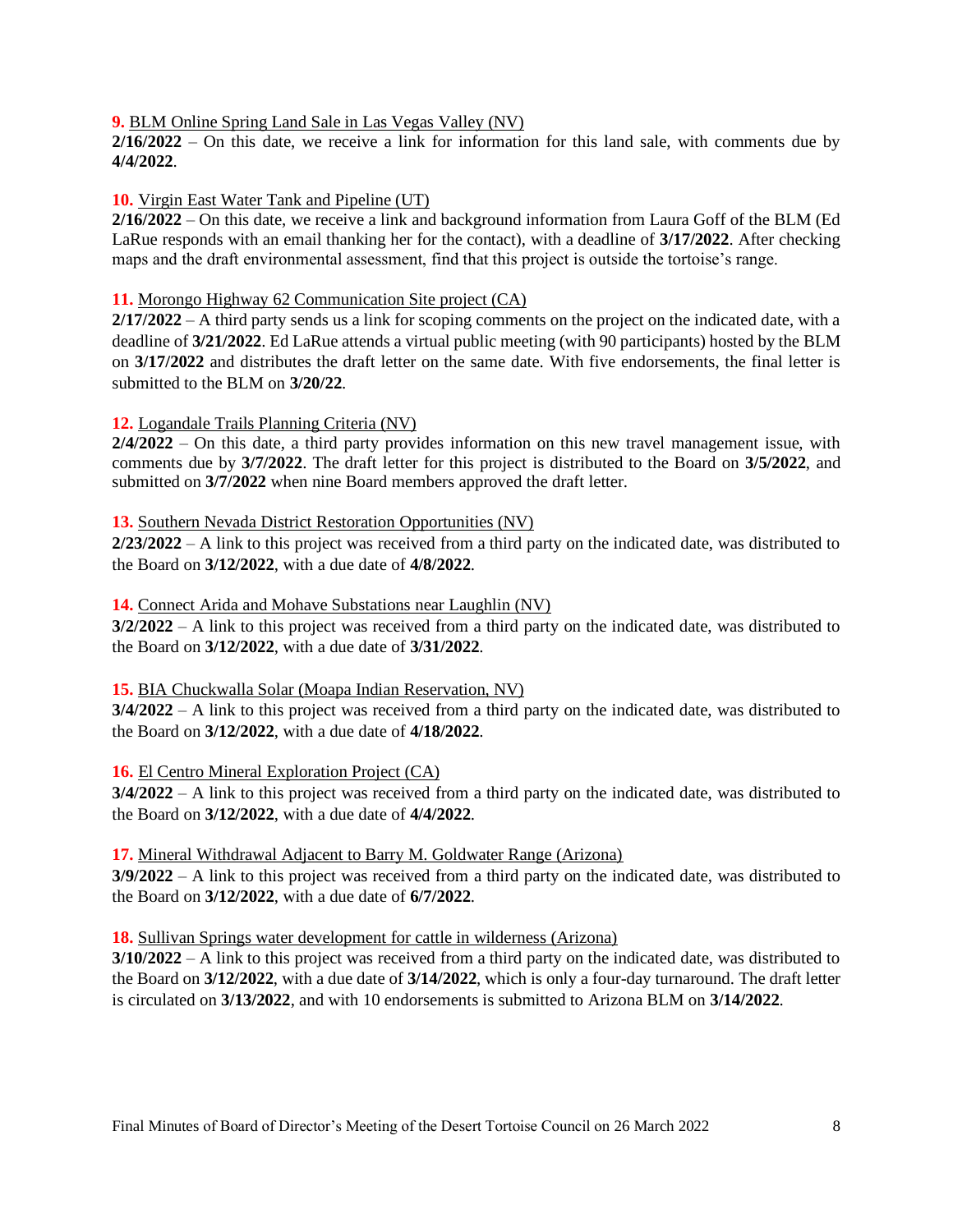#### **9.** BLM Online Spring Land Sale in Las Vegas Valley (NV)

**2/16/2022** – On this date, we receive a link for information for this land sale, with comments due by **4/4/2022**.

#### **10.** Virgin East Water Tank and Pipeline (UT)

**2/16/2022** – On this date, we receive a link and background information from Laura Goff of the BLM (Ed LaRue responds with an email thanking her for the contact), with a deadline of **3/17/2022**. After checking maps and the draft environmental assessment, find that this project is outside the tortoise's range.

#### **11.** Morongo Highway 62 Communication Site project (CA)

**2/17/2022** – A third party sends us a link for scoping comments on the project on the indicated date, with a deadline of **3/21/2022**. Ed LaRue attends a virtual public meeting (with 90 participants) hosted by the BLM on **3/17/2022** and distributes the draft letter on the same date. With five endorsements, the final letter is submitted to the BLM on **3/20/22**.

#### **12.** Logandale Trails Planning Criteria (NV)

**2/4/2022** – On this date, a third party provides information on this new travel management issue, with comments due by **3/7/2022**. The draft letter for this project is distributed to the Board on **3/5/2022**, and submitted on **3/7/2022** when nine Board members approved the draft letter.

#### **13.** Southern Nevada District Restoration Opportunities (NV)

**2/23/2022** – A link to this project was received from a third party on the indicated date, was distributed to the Board on **3/12/2022**, with a due date of **4/8/2022**.

#### **14.** Connect Arida and Mohave Substations near Laughlin (NV)

**3/2/2022** – A link to this project was received from a third party on the indicated date, was distributed to the Board on **3/12/2022**, with a due date of **3/31/2022**.

#### **15.** BIA Chuckwalla Solar (Moapa Indian Reservation, NV)

**3/4/2022** – A link to this project was received from a third party on the indicated date, was distributed to the Board on **3/12/2022**, with a due date of **4/18/2022**.

#### **16.** El Centro Mineral Exploration Project (CA)

**3/4/2022** – A link to this project was received from a third party on the indicated date, was distributed to the Board on **3/12/2022**, with a due date of **4/4/2022**.

#### **17.** Mineral Withdrawal Adjacent to Barry M. Goldwater Range (Arizona)

**3/9/2022** – A link to this project was received from a third party on the indicated date, was distributed to the Board on **3/12/2022**, with a due date of **6/7/2022**.

#### **18.** Sullivan Springs water development for cattle in wilderness (Arizona)

**3/10/2022** – A link to this project was received from a third party on the indicated date, was distributed to the Board on **3/12/2022**, with a due date of **3/14/2022**, which is only a four-day turnaround. The draft letter is circulated on **3/13/2022**, and with 10 endorsements is submitted to Arizona BLM on **3/14/2022**.